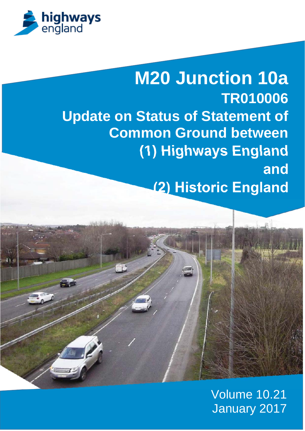

# **M20 Junction 10a TR010006 Update on Status of Statement of Common Ground between (1) Highways England and (2) Historic England**



### Volume 10.21 January 2017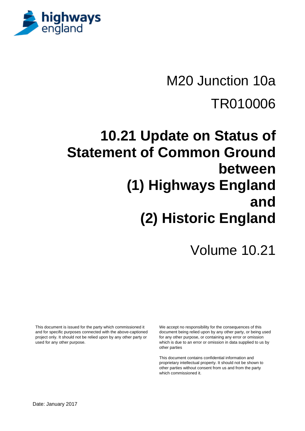

# M20 Junction 10a TR010006

# **10.21 Update on Status of Statement of Common Ground between (1) Highways England and (2) Historic England**

## Volume 10.21

This document is issued for the party which commissioned it and for specific purposes connected with the above-captioned project only. It should not be relied upon by any other party or used for any other purpose.

We accept no responsibility for the consequences of this document being relied upon by any other party, or being used for any other purpose, or containing any error or omission which is due to an error or omission in data supplied to us by other parties

This document contains confidential information and proprietary intellectual property. It should not be shown to other parties without consent from us and from the party which commissioned it.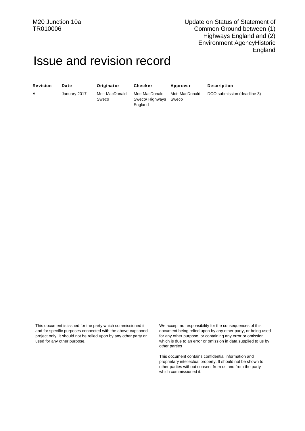### Issue and revision record

| <b>Revision</b> | Date         | Originator              | <b>Checker</b>                               | <b>Approver</b>         | <b>Description</b>          |
|-----------------|--------------|-------------------------|----------------------------------------------|-------------------------|-----------------------------|
| A               | January 2017 | Mott MacDonald<br>Sweco | Mott MacDonald<br>Sweco/ Highways<br>England | Mott MacDonald<br>Sweco | DCO submission (deadline 3) |

This document is issued for the party which commissioned it and for specific purposes connected with the above-captioned project only. It should not be relied upon by any other party or used for any other purpose.

We accept no responsibility for the consequences of this document being relied upon by any other party, or being used for any other purpose, or containing any error or omission which is due to an error or omission in data supplied to us by other parties

This document contains confidential information and proprietary intellectual property. It should not be shown to other parties without consent from us and from the party which commissioned it.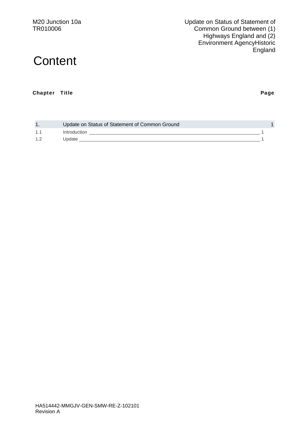M20 Junction 10a TR010006

Update on Status of Statement of Common Ground between (1) Highways England and (2) Environment AgencyHistoric **England** 

### **Content**

#### Chapter Title Page

| $\mathbf{1}$ . | Update on Status of Statement of Common Ground |  |
|----------------|------------------------------------------------|--|
|                | Introduction                                   |  |
|                | Update                                         |  |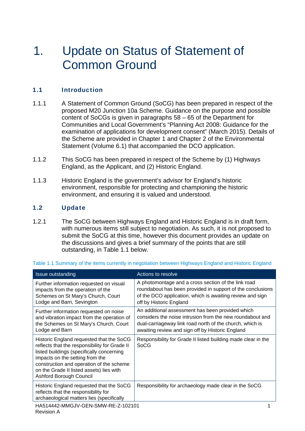### 1. Update on Status of Statement of Common Ground

### 1.1 Introduction

- 1.1.1 A Statement of Common Ground (SoCG) has been prepared in respect of the proposed M20 Junction 10a Scheme. Guidance on the purpose and possible content of SoCGs is given in paragraphs 58 – 65 of the Department for Communities and Local Government's "Planning Act 2008: Guidance for the examination of applications for development consent" (March 2015). Details of the Scheme are provided in Chapter 1 and Chapter 2 of the Environmental Statement (Volume 6.1) that accompanied the DCO application.
- 1.1.2 This SoCG has been prepared in respect of the Scheme by (1) Highways England, as the Applicant, and (2) Historic England.
- 1.1.3 Historic England is the government's advisor for England's historic environment, responsible for protecting and championing the historic environment, and ensuring it is valued and understood.

#### 1.2 Update

1.2.1 The SoCG between Highways England and Historic England is in draft form, with numerous items still subject to negotiation. As such, it is not proposed to submit the SoCG at this time, however this document provides an update on the discussions and gives a brief summary of the points that are still outstanding, in Table 1.1 below.

| Issue outstanding                                                                                                                                                                                                                                                                            | Actions to resolve                                                                                                                                                                                                            |  |  |
|----------------------------------------------------------------------------------------------------------------------------------------------------------------------------------------------------------------------------------------------------------------------------------------------|-------------------------------------------------------------------------------------------------------------------------------------------------------------------------------------------------------------------------------|--|--|
| Further information requested on visual<br>impacts from the operation of the<br>Schemes on St Mary's Church, Court<br>Lodge and Barn, Sevington                                                                                                                                              | A photomontage and a cross section of the link road<br>roundabout has been provided in support of the conclusions<br>of the DCO application, which is awaiting review and sign<br>off by Historic England                     |  |  |
| Further information requested on noise<br>and vibration impact from the operation of<br>the Schemes on St Mary's Church, Court<br>Lodge and Barn                                                                                                                                             | An additional assessment has been provided which<br>considers the noise intrusion from the new roundabout and<br>dual-carriageway link road north of the church, which is<br>awaiting review and sign off by Historic England |  |  |
| Historic England requested that the SoCG<br>reflects that the responsibility for Grade II<br>listed buildings (specifically concerning<br>impacts on the setting from the<br>construction and operation of the scheme<br>on the Grade II listed assets) lies with<br>Ashford Borough Council | Responsibility for Grade II listed building made clear in the<br>SoCG                                                                                                                                                         |  |  |
| Historic England requested that the SoCG<br>reflects that the responsibility for<br>archaeological matters lies (specifically                                                                                                                                                                | Responsibility for archaeology made clear in the SoCG                                                                                                                                                                         |  |  |
| HA514442-MMGJV-GEN-SMW-RE-Z-102101                                                                                                                                                                                                                                                           |                                                                                                                                                                                                                               |  |  |

#### Table 1.1 Summary of the items currently in negotiation between Highways England and Historic England